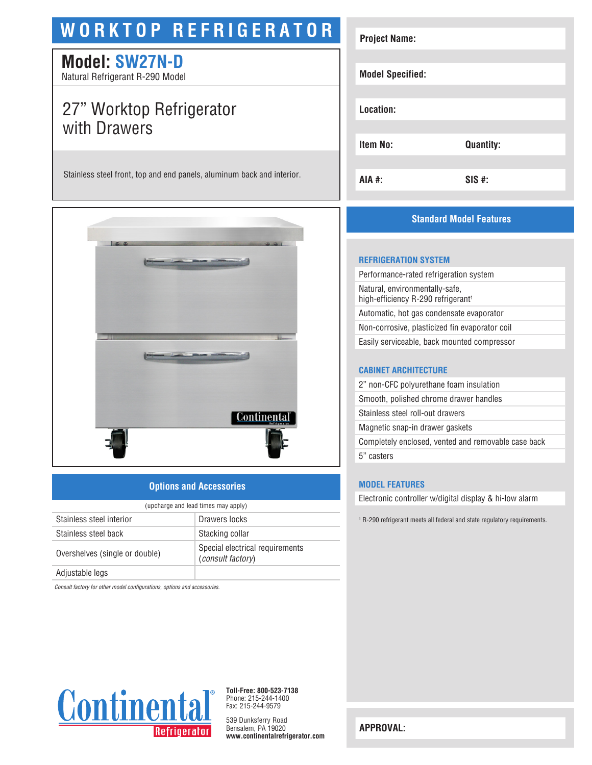# **WORKTOP REFRIGERATOR**

# **Model: SW27N-D**

Natural Refrigerant R-290 Model

# 27" Worktop Refrigerator with Drawers

Stainless steel front, top and end panels, aluminum back and interior.



### **Options and Accessories**

| (upcharge and lead times may apply) |                                                             |  |
|-------------------------------------|-------------------------------------------------------------|--|
| Stainless steel interior            | Drawers locks                                               |  |
| Stainless steel back                | Stacking collar                                             |  |
| Overshelves (single or double)      | Special electrical requirements<br><i>(consult factory)</i> |  |
| Adjustable legs                     |                                                             |  |

*Consult factory for other model configurations, options and accessories.*



| <b>Project Name:</b>    |                  |
|-------------------------|------------------|
|                         |                  |
| <b>Model Specified:</b> |                  |
| Location:               |                  |
| <b>Item No:</b>         | <b>Quantity:</b> |
| <b>AIA #:</b>           | SIS #:           |
|                         |                  |

# **Standard Model Features**

#### **REFRIGERATION SYSTEM**

Performance-rated refrigeration system Natural, environmentally-safe, high-efficiency R-290 refrigerant<sup>1</sup> Automatic, hot gas condensate evaporator Non-corrosive, plasticized fin evaporator coil Easily serviceable, back mounted compressor

#### **CABINET ARCHITECTURE**

2" non-CFC polyurethane foam insulation Smooth, polished chrome drawer handles Stainless steel roll-out drawers Magnetic snap-in drawer gaskets Completely enclosed, vented and removable case back 5" casters

#### **MODEL FEATURES**

Electronic controller w/digital display & hi-low alarm

1 R-290 refrigerant meets all federal and state regulatory requirements.



**Toll-Free: 800-523-7138** Phone: 215-244-1400 Fax: 215-244-9579

539 Dunksferry Road Bensalem, PA 19020 **www.continentalrefrigerator.com** 

**APPROVAL:**